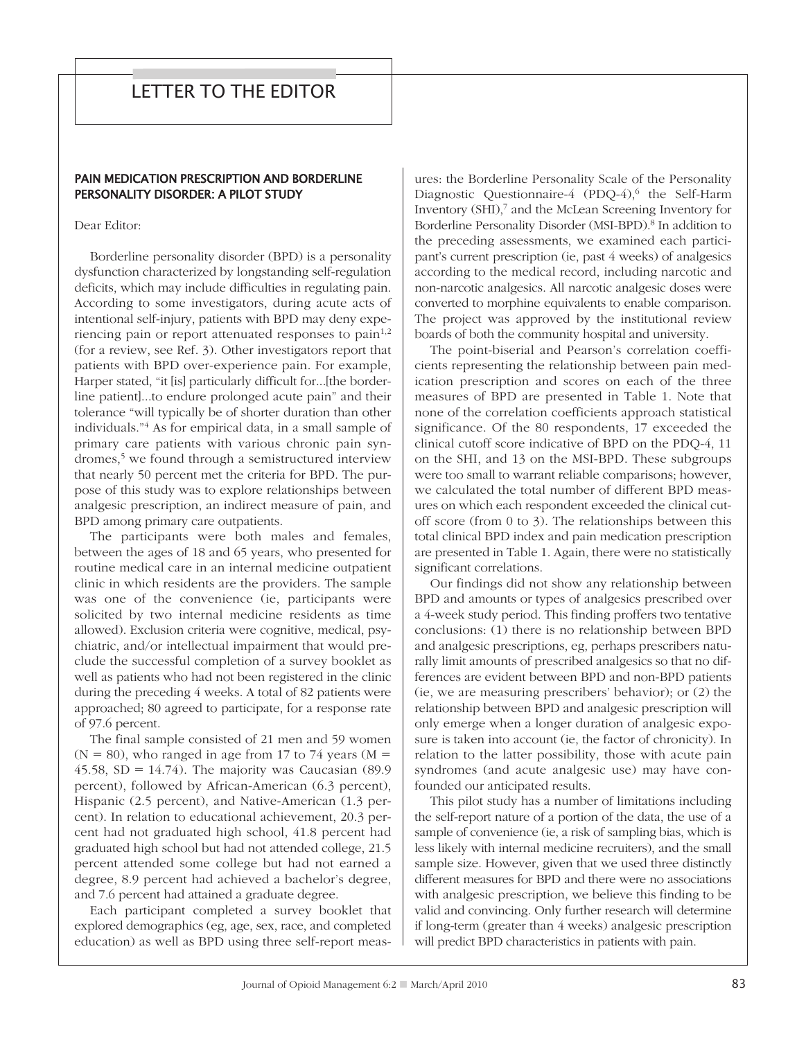# LETTER TO THE EDITOR

## PAIN MEDICATION PRESCRIPTION AND BORDERLINE PERSONALITY DISORDER: A PILOT STUDY

Dear Editor:

Borderline personality disorder (BPD) is a personality dysfunction characterized by longstanding self-regulation deficits, which may include difficulties in regulating pain. According to some investigators, during acute acts of intentional self-injury, patients with BPD may deny experiencing pain or report attenuated responses to pain $1,2$ (for a review, see Ref. 3). Other investigators report that patients with BPD over-experience pain. For example, Harper stated, "it [is] particularly difficult for...[the borderline patient]...to endure prolonged acute pain" and their tolerance "will typically be of shorter duration than other individuals."4 As for empirical data, in a small sample of primary care patients with various chronic pain syndromes, $5 \le$  we found through a semistructured interview that nearly 50 percent met the criteria for BPD. The purpose of this study was to explore relationships between analgesic prescription, an indirect measure of pain, and BPD among primary care outpatients.

The participants were both males and females, between the ages of 18 and 65 years, who presented for routine medical care in an internal medicine outpatient clinic in which residents are the providers. The sample was one of the convenience (ie, participants were solicited by two internal medicine residents as time allowed). Exclusion criteria were cognitive, medical, psychiatric, and/or intellectual impairment that would preclude the successful completion of a survey booklet as well as patients who had not been registered in the clinic during the preceding 4 weeks. A total of 82 patients were approached; 80 agreed to participate, for a response rate of 97.6 percent.

The final sample consisted of 21 men and 59 women  $(N = 80)$ , who ranged in age from 17 to 74 years  $(M = 100)$ 45.58,  $SD = 14.74$ ). The majority was Caucasian (89.9) percent), followed by African-American (6.3 percent), Hispanic (2.5 percent), and Native-American (1.3 percent). In relation to educational achievement, 20.3 percent had not graduated high school, 41.8 percent had graduated high school but had not attended college, 21.5 percent attended some college but had not earned a degree, 8.9 percent had achieved a bachelor's degree, and 7.6 percent had attained a graduate degree.

Each participant completed a survey booklet that explored demographics (eg, age, sex, race, and completed education) as well as BPD using three self-report meas-

ures: the Borderline Personality Scale of the Personality Diagnostic Questionnaire-4 (PDQ-4),<sup>6</sup> the Self-Harm Inventory (SHI),<sup>7</sup> and the McLean Screening Inventory for Borderline Personality Disorder (MSI-BPD).<sup>8</sup> In addition to the preceding assessments, we examined each participant's current prescription (ie, past 4 weeks) of analgesics according to the medical record, including narcotic and non-narcotic analgesics. All narcotic analgesic doses were converted to morphine equivalents to enable comparison. The project was approved by the institutional review boards of both the community hospital and university.

The point-biserial and Pearson's correlation coefficients representing the relationship between pain medication prescription and scores on each of the three measures of BPD are presented in Table 1. Note that none of the correlation coefficients approach statistical significance. Of the 80 respondents, 17 exceeded the clinical cutoff score indicative of BPD on the PDQ-4, 11 on the SHI, and 13 on the MSI-BPD. These subgroups were too small to warrant reliable comparisons; however, we calculated the total number of different BPD measures on which each respondent exceeded the clinical cutoff score (from 0 to 3). The relationships between this total clinical BPD index and pain medication prescription are presented in Table 1. Again, there were no statistically significant correlations.

Our findings did not show any relationship between BPD and amounts or types of analgesics prescribed over a 4-week study period. This finding proffers two tentative conclusions: (1) there is no relationship between BPD and analgesic prescriptions, eg, perhaps prescribers naturally limit amounts of prescribed analgesics so that no differences are evident between BPD and non-BPD patients (ie, we are measuring prescribers' behavior); or (2) the relationship between BPD and analgesic prescription will only emerge when a longer duration of analgesic exposure is taken into account (ie, the factor of chronicity). In relation to the latter possibility, those with acute pain syndromes (and acute analgesic use) may have confounded our anticipated results.

This pilot study has a number of limitations including the self-report nature of a portion of the data, the use of a sample of convenience (ie, a risk of sampling bias, which is less likely with internal medicine recruiters), and the small sample size. However, given that we used three distinctly different measures for BPD and there were no associations with analgesic prescription, we believe this finding to be valid and convincing. Only further research will determine if long-term (greater than 4 weeks) analgesic prescription will predict BPD characteristics in patients with pain.